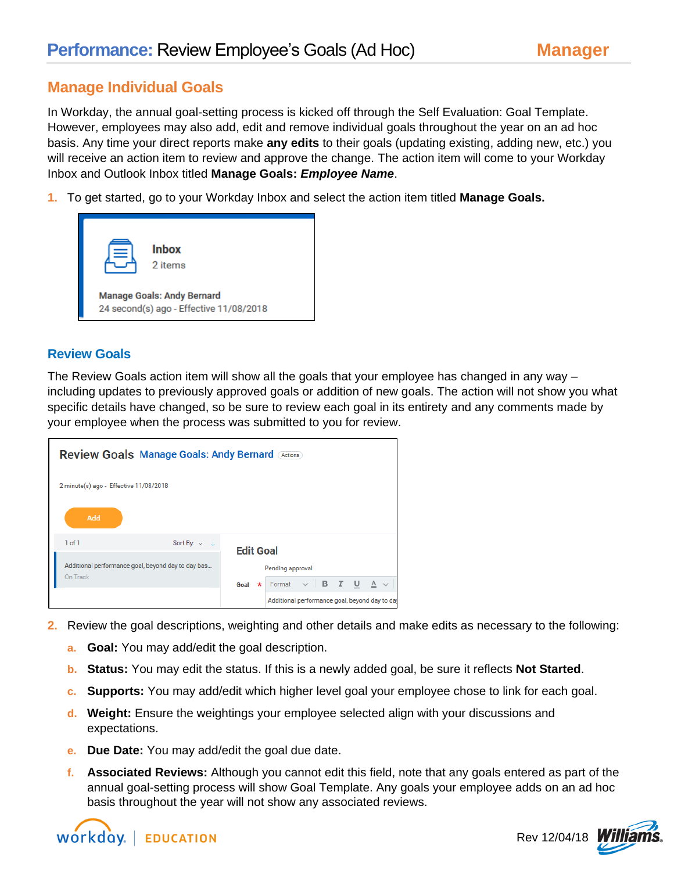## **Manage Individual Goals**

In Workday, the annual goal-setting process is kicked off through the Self Evaluation: Goal Template. However, employees may also add, edit and remove individual goals throughout the year on an ad hoc basis. Any time your direct reports make **any edits** to their goals (updating existing, adding new, etc.) you will receive an action item to review and approve the change. The action item will come to your Workday Inbox and Outlook Inbox titled **Manage Goals:** *Employee Name*.

**1.** To get started, go to your Workday Inbox and select the action item titled **Manage Goals.**



## **Review Goals**

The Review Goals action item will show all the goals that your employee has changed in any way – including updates to previously approved goals or addition of new goals. The action will not show you what specific details have changed, so be sure to review each goal in its entirety and any comments made by your employee when the process was submitted to you for review.

| <b>Review Goals Manage Goals: Andy Bernard Actions</b>         |                                                                   |
|----------------------------------------------------------------|-------------------------------------------------------------------|
| 2 minute(s) ago - Effective 11/08/2018                         |                                                                   |
| Add                                                            |                                                                   |
| 1 of 1<br>Sort By: $\vee$ $\downarrow$                         | <b>Edit Goal</b>                                                  |
| Additional performance goal, beyond day to day bas<br>On Track | Pending approval                                                  |
|                                                                | Format $\vee$ <b>B</b> $I$ <b>U</b> $A$ $\vee$<br>$\star$<br>Goal |
|                                                                | Additional performance goal, beyond day to day                    |

- **2.** Review the goal descriptions, weighting and other details and make edits as necessary to the following:
	- **a. Goal:** You may add/edit the goal description.
	- **b. Status:** You may edit the status. If this is a newly added goal, be sure it reflects **Not Started**.
	- **c. Supports:** You may add/edit which higher level goal your employee chose to link for each goal.
	- **d. Weight:** Ensure the weightings your employee selected align with your discussions and expectations.
	- **e. Due Date:** You may add/edit the goal due date.
	- **f. Associated Reviews:** Although you cannot edit this field, note that any goals entered as part of the annual goal-setting process will show Goal Template. Any goals your employee adds on an ad hoc basis throughout the year will not show any associated reviews.